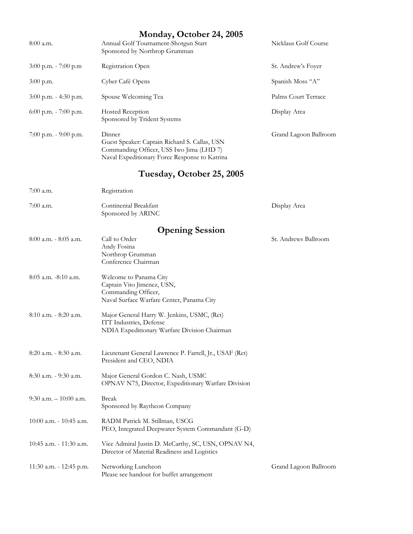| $8:00$ a.m.               | Monday, October 24, 2005<br>Annual Golf Tournament-Shotgun Start<br>Sponsored by Northrop Grumman                                                    | Nicklaus Golf Course  |  |
|---------------------------|------------------------------------------------------------------------------------------------------------------------------------------------------|-----------------------|--|
| $3:00$ p.m. $-7:00$ p.m   | Registration Open                                                                                                                                    | St. Andrew's Foyer    |  |
| 3:00 p.m.                 | Cyber Café Opens                                                                                                                                     | Spanish Moss "A"      |  |
| 3:00 p.m. - 4:30 p.m.     | Spouse Welcoming Tea                                                                                                                                 | Palms Court Terrace   |  |
| $6:00$ p.m. $-7:00$ p.m.  | Hosted Reception<br>Sponsored by Trident Systems                                                                                                     | Display Area          |  |
| 7:00 p.m. - 9:00 p.m.     | Dinner<br>Guest Speaker: Captain Richard S. Callas, USN<br>Commanding Officer, USS Iwo Jima (LHD 7)<br>Naval Expeditionary Force Response to Katrina | Grand Lagoon Ballroom |  |
| Tuesday, October 25, 2005 |                                                                                                                                                      |                       |  |
| $7:00$ a.m.               | Registration                                                                                                                                         |                       |  |
| 7:00 a.m.                 | Continental Breakfast<br>Sponsored by ARINC                                                                                                          | Display Area          |  |
|                           | <b>Opening Session</b>                                                                                                                               |                       |  |
| 8:00 a.m. - 8:05 a.m.     | Call to Order<br>Andy Fosina<br>Northrop Grumman<br>Conference Chairman                                                                              | St. Andrews Ballroom  |  |
| $8:05$ a.m. $-8:10$ a.m.  | Welcome to Panama City<br>Captain Vito Jimenez, USN,<br>Commanding Officer,<br>Naval Surface Warfare Center, Panama City                             |                       |  |
| $8:10$ a.m. $-8:20$ a.m.  | Major General Harry W. Jenkins, USMC, (Ret)<br>ITT Industries, Defense<br>NDIA Expeditionary Warfare Division Chairman                               |                       |  |
| $8:20$ a.m. $-8:30$ a.m.  | Lieutenant General Lawrence P. Farrell, Jr., USAF (Ret)<br>President and CEO, NDIA                                                                   |                       |  |

8:30 a.m. - 9:30 a.m. Major General Gordon C. Nash, USMC OPNAV N75, Director, Expeditionary Warfare Division

9:30 a.m. – 10:00 a.m. Break Sponsored by Raytheon Company 10:00 a.m. - 10:45 a.m. RADM Patrick M. Stillman, USCG PEO, Integrated Deepwater System Commandant (G-D) 10:45 a.m. - 11:30 a.m. Vice Admiral Justin D. McCarthy, SC, USN, OPNAV N4, Director of Material Readiness and Logistics 11:30 a.m. - 12:45 p.m. Networking Luncheon

Please see handout for buffet arrangement

Grand Lagoon Ballroom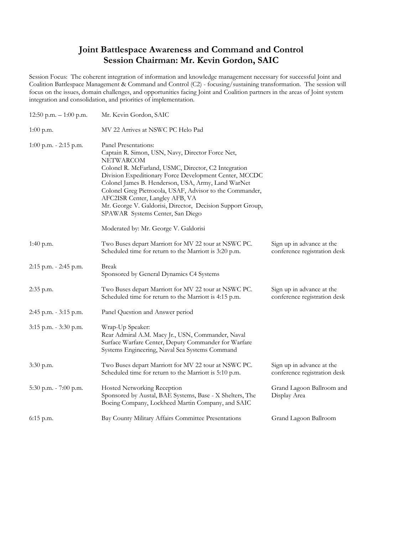# **Joint Battlespace Awareness and Command and Control Session Chairman: Mr. Kevin Gordon, SAIC**

Session Focus: The coherent integration of information and knowledge management necessary for successful Joint and Coalition Battlespace Management & Command and Control (C2) - focusing/sustaining transformation. The session will focus on the issues, domain challenges, and opportunities facing Joint and Coalition partners in the areas of Joint system integration and consolidation, and priorities of implementation.

| 12:50 p.m. $-1:00$ p.m.  | Mr. Kevin Gordon, SAIC                                                                                                                                                                                                                                                                                                                                                                                                                                         |                                                           |
|--------------------------|----------------------------------------------------------------------------------------------------------------------------------------------------------------------------------------------------------------------------------------------------------------------------------------------------------------------------------------------------------------------------------------------------------------------------------------------------------------|-----------------------------------------------------------|
| $1:00$ p.m.              | MV 22 Arrives at NSWC PC Helo Pad                                                                                                                                                                                                                                                                                                                                                                                                                              |                                                           |
| $1:00$ p.m. $-2:15$ p.m. | Panel Presentations:<br>Captain R. Simon, USN, Navy, Director Force Net,<br>NETWARCOM<br>Colonel R. McFarland, USMC, Director, C2 Integration<br>Division Expeditionary Force Development Center, MCCDC<br>Colonel James B. Henderson, USA, Army, Land WarNet<br>Colonel Greg Pietrocola, USAF, Advisor to the Commander,<br>AFC2ISR Center, Langley AFB, VA<br>Mr. George V. Galdorisi, Director, Decision Support Group,<br>SPAWAR Systems Center, San Diego |                                                           |
|                          | Moderated by: Mr. George V. Galdorisi                                                                                                                                                                                                                                                                                                                                                                                                                          |                                                           |
| 1:40 p.m.                | Two Buses depart Marriott for MV 22 tour at NSWC PC.<br>Scheduled time for return to the Marriott is 3:20 p.m.                                                                                                                                                                                                                                                                                                                                                 | Sign up in advance at the<br>conference registration desk |
| 2:15 p.m. - 2:45 p.m.    | <b>Break</b><br>Sponsored by General Dynamics C4 Systems                                                                                                                                                                                                                                                                                                                                                                                                       |                                                           |
| 2:35 p.m.                | Two Buses depart Marriott for MV 22 tour at NSWC PC.<br>Scheduled time for return to the Marriott is 4:15 p.m.                                                                                                                                                                                                                                                                                                                                                 | Sign up in advance at the<br>conference registration desk |
| 2:45 p.m. - 3:15 p.m.    | Panel Question and Answer period                                                                                                                                                                                                                                                                                                                                                                                                                               |                                                           |
| 3:15 p.m. - 3:30 p.m.    | Wrap-Up Speaker:<br>Rear Admiral A.M. Macy Jr., USN, Commander, Naval<br>Surface Warfare Center, Deputy Commander for Warfare<br>Systems Engineering, Naval Sea Systems Command                                                                                                                                                                                                                                                                                |                                                           |
| 3:30 p.m.                | Two Buses depart Marriott for MV 22 tour at NSWC PC.<br>Scheduled time for return to the Marriott is 5:10 p.m.                                                                                                                                                                                                                                                                                                                                                 | Sign up in advance at the<br>conference registration desk |
| 5:30 p.m. - 7:00 p.m.    | <b>Hosted Networking Reception</b><br>Sponsored by Austal, BAE Systems, Base - X Shelters, The<br>Boeing Company, Lockheed Martin Company, and SAIC                                                                                                                                                                                                                                                                                                            | Grand Lagoon Ballroom and<br>Display Area                 |
| 6:15 p.m.                | Bay County Military Affairs Committee Presentations                                                                                                                                                                                                                                                                                                                                                                                                            | Grand Lagoon Ballroom                                     |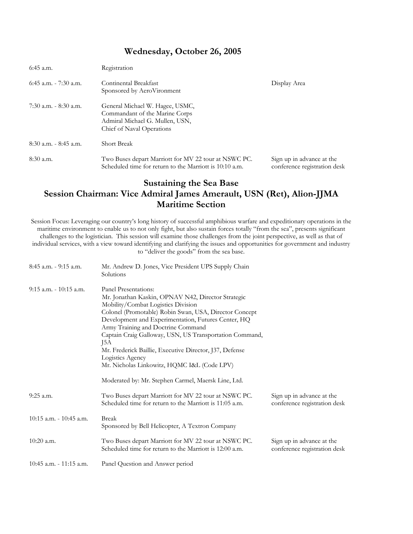### **Wednesday, October 26, 2005**

| $6:45$ a.m.              | Registration                                                                                                                      |                                                           |
|--------------------------|-----------------------------------------------------------------------------------------------------------------------------------|-----------------------------------------------------------|
| $6:45$ a.m. $-7:30$ a.m. | Continental Breakfast<br>Sponsored by AeroVironment                                                                               | Display Area                                              |
| $7:30$ a.m. $-8:30$ a.m. | General Michael W. Hagee, USMC,<br>Commandant of the Marine Corps<br>Admiral Michael G. Mullen, USN,<br>Chief of Naval Operations |                                                           |
| $8:30$ a.m. $-8:45$ a.m. | <b>Short Break</b>                                                                                                                |                                                           |
| $8:30$ a.m.              | Two Buses depart Marriott for MV 22 tour at NSWC PC.<br>Scheduled time for return to the Marriott is 10:10 a.m.                   | Sign up in advance at the<br>conference registration desk |

# **Sustaining the Sea Base Session Chairman: Vice Admiral James Amerault, USN (Ret), Alion-JJMA Maritime Section**

Session Focus: Leveraging our country's long history of successful amphibious warfare and expeditionary operations in the maritime environment to enable us to not only fight, but also sustain forces totally "from the sea", presents significant challenges to the logistician. This session will examine those challenges from the joint perspective, as well as that of individual services, with a view toward identifying and clarifying the issues and opportunities for government and industry to "deliver the goods" from the sea base.

| $8:45$ a.m. $-9:15$ a.m.   | Mr. Andrew D. Jones, Vice President UPS Supply Chain<br>Solutions                                                                                                                                                                                                                                                                                                                                                                                                       |                                                           |
|----------------------------|-------------------------------------------------------------------------------------------------------------------------------------------------------------------------------------------------------------------------------------------------------------------------------------------------------------------------------------------------------------------------------------------------------------------------------------------------------------------------|-----------------------------------------------------------|
| $9:15$ a.m. $-10:15$ a.m.  | Panel Presentations:<br>Mr. Jonathan Kaskin, OPNAV N42, Director Strategic<br>Mobility/Combat Logistics Division<br>Colonel (Promotable) Robin Swan, USA, Director Concept<br>Development and Experimentation, Futures Center, HQ<br>Army Training and Doctrine Command<br>Captain Craig Galloway, USN, US Transportation Command,<br>J5A<br>Mr. Frederick Baillie, Executive Director, J37, Defense<br>Logistics Agency<br>Mr. Nicholas Linkowitz, HQMC I&L (Code LPV) |                                                           |
|                            | Moderated by: Mr. Stephen Carmel, Maersk Line, Ltd.                                                                                                                                                                                                                                                                                                                                                                                                                     |                                                           |
| 9:25 a.m.                  | Two Buses depart Marriott for MV 22 tour at NSWC PC.<br>Scheduled time for return to the Marriott is 11:05 a.m.                                                                                                                                                                                                                                                                                                                                                         | Sign up in advance at the<br>conference registration desk |
| $10:15$ a.m. $-10:45$ a.m. | <b>Break</b><br>Sponsored by Bell Helicopter, A Textron Company                                                                                                                                                                                                                                                                                                                                                                                                         |                                                           |
| $10:20$ a.m.               | Two Buses depart Marriott for MV 22 tour at NSWC PC.<br>Scheduled time for return to the Marriott is 12:00 a.m.                                                                                                                                                                                                                                                                                                                                                         | Sign up in advance at the<br>conference registration desk |
| $10:45$ a.m. - 11:15 a.m.  | Panel Question and Answer period                                                                                                                                                                                                                                                                                                                                                                                                                                        |                                                           |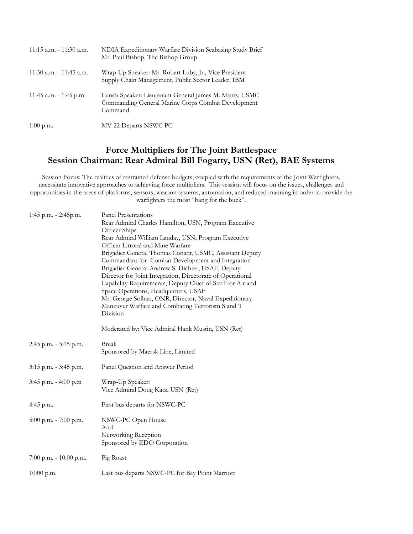| $11:15$ a.m. $-11:30$ a.m. | NDIA Expeditionary Warfare Division Seabasing Study Brief<br>Mr. Paul Bishop, The Bishop Group                           |
|----------------------------|--------------------------------------------------------------------------------------------------------------------------|
| $11:30$ a.m. - 11:45 a.m.  | Wrap-Up Speaker: Mr. Robert Luby, Jr., Vice President<br>Supply Chain Management, Public Sector Leader, IBM              |
| 11:45 a.m. $-$ 1:45 p.m.   | Lunch Speaker: Lieutenant General James M. Mattis, USMC<br>Commanding General Marine Corps Combat Development<br>Command |
| $1:00$ p.m.                | MV 22 Departs NSWC PC                                                                                                    |

## **Force Multipliers for The Joint Battlespace Session Chairman: Rear Admiral Bill Fogarty, USN (Ret), BAE Systems**

Session Focus: The realities of restrained defense budgets, coupled with the requirements of the Joint Warfighters, necessitate innovative approaches to achieving force multipliers. This session will focus on the issues, challenges and opportunities in the areas of platforms, sensors, weapon systems, automation, and reduced manning in order to provide the warfighters the most "bang for the buck".

| 1:45 p.m. - 2:45p.m.     | Panel Presentations                                                                                                                                                                                                                                                                                                                                                                                                                                            |
|--------------------------|----------------------------------------------------------------------------------------------------------------------------------------------------------------------------------------------------------------------------------------------------------------------------------------------------------------------------------------------------------------------------------------------------------------------------------------------------------------|
|                          | Rear Admiral Charles Hamilton, USN, Program Executive<br>Officer Ships                                                                                                                                                                                                                                                                                                                                                                                         |
|                          | Rear Admiral William Landay, USN, Program Executive<br>Officer Littoral and Mine Warfare                                                                                                                                                                                                                                                                                                                                                                       |
|                          | Brigadier General Thomas Conant, USMC, Assistant Deputy<br>Commandant for Combat Development and Integration<br>Brigadier General Andrew S. Dichter, USAF, Deputy<br>Director for Joint Integration, Directorate of Operational<br>Capability Requirements, Deputy Chief of Staff for Air and<br>Space Operations, Headquarters, USAF<br>Mr. George Solhan, ONR, Director, Naval Expeditionary<br>Maneuver Warfare and Combating Terrorism S and T<br>Division |
|                          | Moderated by: Vice Admiral Hank Mustin, USN (Ret)                                                                                                                                                                                                                                                                                                                                                                                                              |
| 2:45 p.m. - 3:15 p.m.    | <b>Break</b><br>Sponsored by Maersk Line, Limited                                                                                                                                                                                                                                                                                                                                                                                                              |
| 3:15 p.m. - 3:45 p.m.    | Panel Question and Answer Period                                                                                                                                                                                                                                                                                                                                                                                                                               |
| $3:45$ p.m. $-4:00$ p.m  | Wrap-Up Speaker:<br>Vice Admiral Doug Katz, USN (Ret)                                                                                                                                                                                                                                                                                                                                                                                                          |
| $4:45$ p.m.              | First bus departs for NSWC-PC                                                                                                                                                                                                                                                                                                                                                                                                                                  |
| 5:00 p.m. - 7:00 p.m.    | NSWC-PC Open House<br>And<br>Networking Reception<br>Sponsored by EDO Corporation                                                                                                                                                                                                                                                                                                                                                                              |
| 7:00 p.m. - $10:00$ p.m. | Pig Roast                                                                                                                                                                                                                                                                                                                                                                                                                                                      |
| $10:00$ p.m.             | Last bus departs NSWC-PC for Bay Point Marriott                                                                                                                                                                                                                                                                                                                                                                                                                |